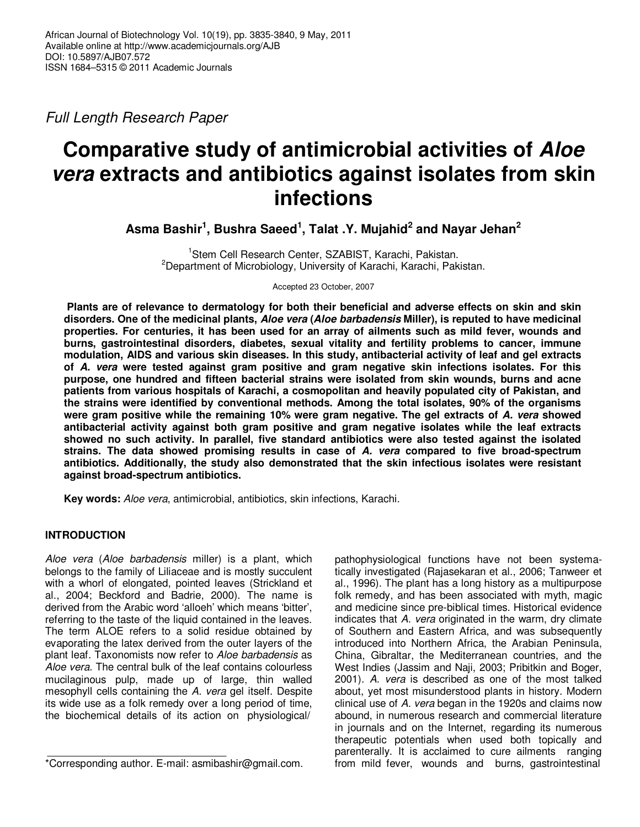*Full Length Research Paper* 

# **Comparative study of antimicrobial activities of Aloe vera extracts and antibiotics against isolates from skin infections**

**Asma Bashir<sup>1</sup> , Bushra Saeed<sup>1</sup> , Talat .Y. Mujahid<sup>2</sup> and Nayar Jehan<sup>2</sup>**

<sup>1</sup>Stem Cell Research Center, SZABIST, Karachi, Pakistan. <sup>2</sup>Department of Microbiology, University of Karachi, Karachi, Pakistan.

Accepted 23 October, 2007

 **Plants are of relevance to dermatology for both their beneficial and adverse effects on skin and skin disorders. One of the medicinal plants, Aloe vera (Aloe barbadensis Miller), is reputed to have medicinal properties. For centuries, it has been used for an array of ailments such as mild fever, wounds and burns, gastrointestinal disorders, diabetes, sexual vitality and fertility problems to cancer, immune modulation, AIDS and various skin diseases. In this study, antibacterial activity of leaf and gel extracts of A. vera were tested against gram positive and gram negative skin infections isolates. For this purpose, one hundred and fifteen bacterial strains were isolated from skin wounds, burns and acne patients from various hospitals of Karachi, a cosmopolitan and heavily populated city of Pakistan, and the strains were identified by conventional methods. Among the total isolates, 90% of the organisms were gram positive while the remaining 10% were gram negative. The gel extracts of A. vera showed antibacterial activity against both gram positive and gram negative isolates while the leaf extracts showed no such activity. In parallel, five standard antibiotics were also tested against the isolated strains. The data showed promising results in case of A. vera compared to five broad-spectrum antibiotics. Additionally, the study also demonstrated that the skin infectious isolates were resistant against broad-spectrum antibiotics.** 

**Key words:** *Aloe vera*, antimicrobial, antibiotics, skin infections, Karachi.

# **INTRODUCTION**

*Aloe vera* (*Aloe barbadensis* miller) is a plant, which belongs to the family of Liliaceae and is mostly succulent with a whorl of elongated, pointed leaves (Strickland et al., 2004; Beckford and Badrie, 2000). The name is derived from the Arabic word 'alloeh' which means 'bitter', referring to the taste of the liquid contained in the leaves. The term ALOE refers to a solid residue obtained by evaporating the latex derived from the outer layers of the plant leaf. Taxonomists now refer to *Aloe barbadensis* as *Aloe vera*. The central bulk of the leaf contains colourless mucilaginous pulp, made up of large, thin walled mesophyll cells containing the *A. vera* gel itself. Despite its wide use as a folk remedy over a long period of time, the biochemical details of its action on physiological/

pathophysiological functions have not been systematically investigated (Rajasekaran et al., 2006; Tanweer et al., 1996). The plant has a long history as a multipurpose folk remedy, and has been associated with myth, magic and medicine since pre-biblical times. Historical evidence indicates that *A. vera* originated in the warm, dry climate of Southern and Eastern Africa, and was subsequently introduced into Northern Africa, the Arabian Peninsula, China, Gibraltar, the Mediterranean countries, and the West Indies (Jassim and Naji, 2003; Pribitkin and Boger, 2001). *A. vera* is described as one of the most talked about, yet most misunderstood plants in history. Modern clinical use of *A. vera* began in the 1920s and claims now abound, in numerous research and commercial literature in journals and on the Internet, regarding its numerous therapeutic potentials when used both topically and parenterally. It is acclaimed to cure ailments ranging from mild fever, wounds and burns, gastrointestinal

<sup>\*</sup>Corresponding author. E-mail: asmibashir@gmail.com.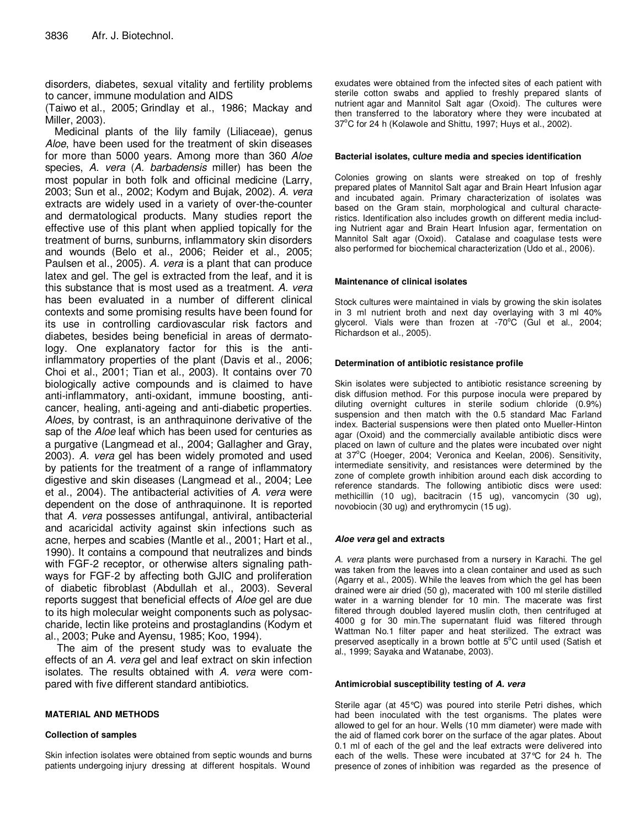disorders, diabetes, sexual vitality and fertility problems to cancer, immune modulation and AIDS

(Taiwo et al., 2005; Grindlay et al., 1986; Mackay and Miller, 2003).

Medicinal plants of the lily family (Liliaceae), genus *Aloe*, have been used for the treatment of skin diseases for more than 5000 years. Among more than 360 *Aloe* species, *A. vera* (*A. barbadensis* miller) has been the most popular in both folk and officinal medicine (Larry, 2003; Sun et al., 2002; Kodym and Bujak, 2002). *A. vera* extracts are widely used in a variety of over-the-counter and dermatological products. Many studies report the effective use of this plant when applied topically for the treatment of burns, sunburns, inflammatory skin disorders and wounds (Belo et al., 2006; Reider et al., 2005; Paulsen et al., 2005). *A. vera* is a plant that can produce latex and gel. The gel is extracted from the leaf, and it is this substance that is most used as a treatment. *A. vera* has been evaluated in a number of different clinical contexts and some promising results have been found for its use in controlling cardiovascular risk factors and diabetes, besides being beneficial in areas of dermatology. One explanatory factor for this is the antiinflammatory properties of the plant (Davis et al., 2006; Choi et al., 2001; Tian et al*.*, 2003). It contains over 70 biologically active compounds and is claimed to have anti-inflammatory, anti-oxidant, immune boosting, anticancer, healing, anti-ageing and anti-diabetic properties. *Aloes*, by contrast, is an anthraquinone derivative of the sap of the *Aloe* leaf which has been used for centuries as a purgative (Langmead et al., 2004; Gallagher and Gray, 2003). *A. vera* gel has been widely promoted and used by patients for the treatment of a range of inflammatory digestive and skin diseases (Langmead et al., 2004; Lee et al., 2004). The antibacterial activities of *A. vera* were dependent on the dose of anthraquinone. It is reported that *A. vera* possesses antifungal, antiviral, antibacterial and acaricidal activity against skin infections such as acne, herpes and scabies (Mantle et al., 2001; Hart et al., 1990). It contains a compound that neutralizes and binds with FGF-2 receptor, or otherwise alters signaling pathways for FGF-2 by affecting both GJIC and proliferation of diabetic fibroblast (Abdullah et al., 2003). Several reports suggest that beneficial effects of *Aloe* gel are due to its high molecular weight components such as polysaccharide, lectin like proteins and prostaglandins (Kodym et al., 2003; Puke and Ayensu, 1985; Koo, 1994).

 The aim of the present study was to evaluate the effects of an *A. vera* gel and leaf extract on skin infection isolates. The results obtained with *A. vera* were compared with five different standard antibiotics.

## **MATERIAL AND METHODS**

#### **Collection of samples**

Skin infection isolates were obtained from septic wounds and burns patients undergoing injury dressing at different hospitals. Wound

exudates were obtained from the infected sites of each patient with sterile cotton swabs and applied to freshly prepared slants of nutrient agar and Mannitol Salt agar (Oxoid). The cultures were then transferred to the laboratory where they were incubated at 37°C for 24 h (Kolawole and Shittu, 1997; Huys et al., 2002).

#### **Bacterial isolates, culture media and species identification**

Colonies growing on slants were streaked on top of freshly prepared plates of Mannitol Salt agar and Brain Heart Infusion agar and incubated again. Primary characterization of isolates was based on the Gram stain, morphological and cultural characteristics. Identification also includes growth on different media including Nutrient agar and Brain Heart Infusion agar, fermentation on Mannitol Salt agar (Oxoid). Catalase and coagulase tests were also performed for biochemical characterization (Udo et al., 2006).

#### **Maintenance of clinical isolates**

Stock cultures were maintained in vials by growing the skin isolates in 3 ml nutrient broth and next day overlaying with 3 ml 40% glycerol. Vials were than frozen at  $-70^{\circ}$ C (Gul et al., 2004; Richardson et al., 2005).

#### **Determination of antibiotic resistance profile**

Skin isolates were subjected to antibiotic resistance screening by disk diffusion method. For this purpose inocula were prepared by diluting overnight cultures in sterile sodium chloride (0.9%) suspension and then match with the 0.5 standard Mac Farland index. Bacterial suspensions were then plated onto Mueller-Hinton agar (Oxoid) and the commercially available antibiotic discs were placed on lawn of culture and the plates were incubated over night at 37°C (Hoeger, 2004; Veronica and Keelan, 2006). Sensitivity, intermediate sensitivity, and resistances were determined by the zone of complete growth inhibition around each disk according to reference standards. The following antibiotic discs were used: methicillin (10 ug), bacitracin (15 ug), vancomycin (30 ug), novobiocin (30 ug) and erythromycin (15 ug).

#### **Aloe vera gel and extracts**

*A. vera* plants were purchased from a nursery in Karachi. The gel was taken from the leaves into a clean container and used as such (Agarry et al., 2005). While the leaves from which the gel has been drained were air dried (50 g), macerated with 100 ml sterile distilled water in a warning blender for 10 min. The macerate was first filtered through doubled layered muslin cloth, then centrifuged at 4000 g for 30 min.The supernatant fluid was filtered through Wattman No.1 filter paper and heat sterilized. The extract was preserved aseptically in a brown bottle at  $5^{\circ}$ C until used (Satish et al., 1999; Sayaka and Watanabe, 2003).

#### **Antimicrobial susceptibility testing of A. vera**

Sterile agar (at 45°C) was poured into sterile Petri dishes, which had been inoculated with the test organisms. The plates were allowed to gel for an hour. Wells (10 mm diameter) were made with the aid of flamed cork borer on the surface of the agar plates. About 0.1 ml of each of the gel and the leaf extracts were delivered into each of the wells. These were incubated at 37°C for 24 h. The presence of zones of inhibition was regarded as the presence of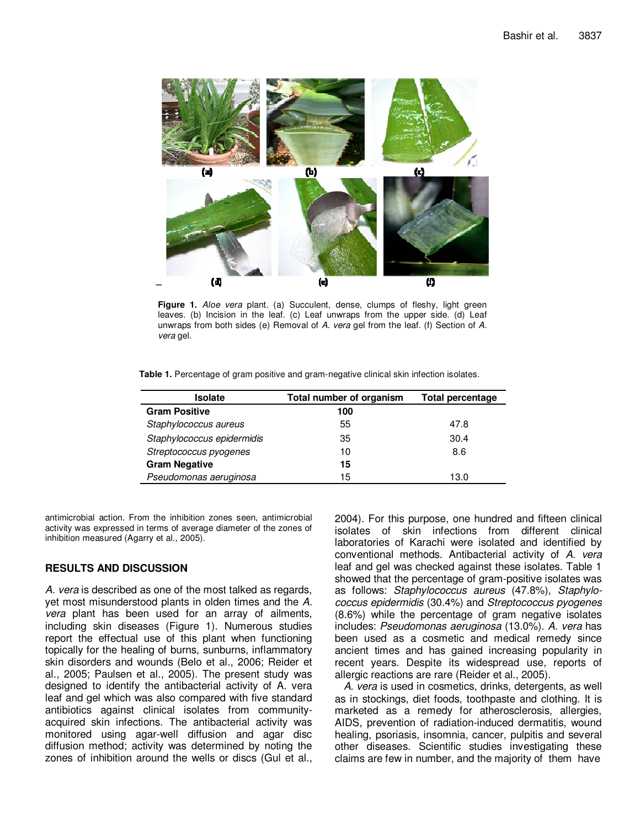

**Figure 1.** *Aloe vera* plant. (a) Succulent, dense, clumps of fleshy, light green leaves. (b) Incision in the leaf. (c) Leaf unwraps from the upper side. (d) Leaf unwraps from both sides (e) Removal of *A. vera* gel from the leaf. (f) Section of *A. vera* gel.

| Table 1. Percentage of gram positive and gram-negative clinical skin infection isolates. |  |  |  |
|------------------------------------------------------------------------------------------|--|--|--|
|------------------------------------------------------------------------------------------|--|--|--|

| <b>Isolate</b>             | Total number of organism | <b>Total percentage</b> |
|----------------------------|--------------------------|-------------------------|
| <b>Gram Positive</b>       | 100                      |                         |
| Staphylococcus aureus      | 55                       | 47.8                    |
| Staphylococcus epidermidis | 35                       | 30.4                    |
| Streptococcus pyogenes     | 10                       | 8.6                     |
| <b>Gram Negative</b>       | 15                       |                         |
| Pseudomonas aeruginosa     | 15                       | 13.0                    |

antimicrobial action. From the inhibition zones seen, antimicrobial activity was expressed in terms of average diameter of the zones of inhibition measured (Agarry et al., 2005).

## **RESULTS AND DISCUSSION**

*A. vera* is described as one of the most talked as regards, yet most misunderstood plants in olden times and the *A. vera* plant has been used for an array of ailments, including skin diseases (Figure 1). Numerous studies report the effectual use of this plant when functioning topically for the healing of burns, sunburns, inflammatory skin disorders and wounds (Belo et al., 2006; Reider et al., 2005; Paulsen et al., 2005). The present study was designed to identify the antibacterial activity of A. vera leaf and gel which was also compared with five standard antibiotics against clinical isolates from communityacquired skin infections. The antibacterial activity was monitored using agar-well diffusion and agar disc diffusion method; activity was determined by noting the zones of inhibition around the wells or discs (Gul et al., 2004). For this purpose, one hundred and fifteen clinical isolates of skin infections from different clinical laboratories of Karachi were isolated and identified by conventional methods. Antibacterial activity of *A. vera* leaf and gel was checked against these isolates. Table 1 showed that the percentage of gram-positive isolates was as follows: *Staphylococcus aureus* (47.8%), *Staphylococcus epidermidis* (30.4%) and *Streptococcus pyogenes* (8.6%) while the percentage of gram negative isolates includes: *Pseudomonas aeruginosa* (13.0%). *A. vera* has been used as a cosmetic and medical remedy since ancient times and has gained increasing popularity in recent years. Despite its widespread use, reports of allergic reactions are rare (Reider et al., 2005).

 *A. vera* is used in cosmetics, drinks, detergents, as well as in stockings, diet foods, toothpaste and clothing. It is marketed as a remedy for atherosclerosis, allergies, AIDS, prevention of radiation-induced dermatitis, wound healing, psoriasis, insomnia, cancer, pulpitis and several other diseases. Scientific studies investigating these claims are few in number, and the majority of them have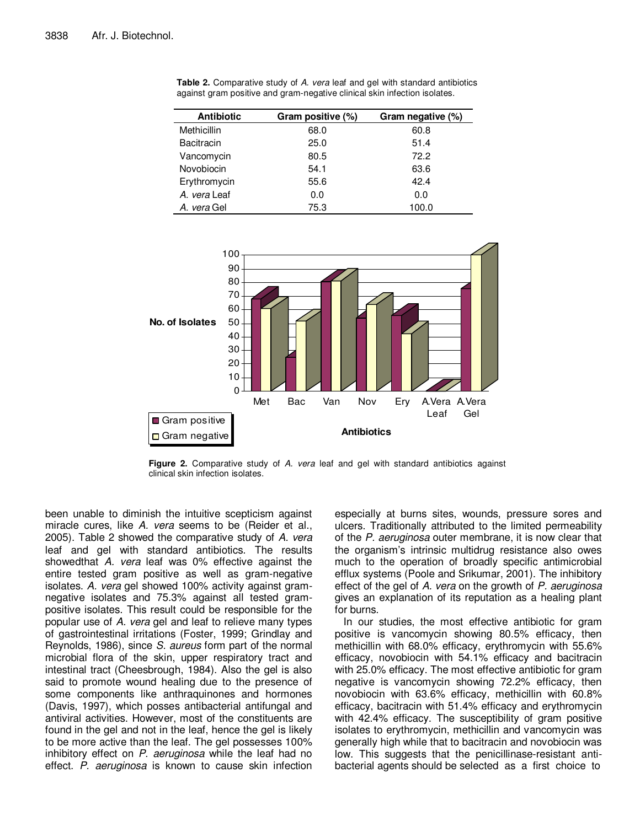| <b>Antibiotic</b> | Gram positive (%) | Gram negative (%) |
|-------------------|-------------------|-------------------|
| Methicillin       | 68.0              | 60.8              |
| <b>Bacitracin</b> | 25.0              | 51.4              |
| Vancomycin        | 80.5              | 72.2              |
| Novobiocin        | 54.1              | 63.6              |
| Erythromycin      | 55.6              | 42.4              |
| A. vera Leaf      | 0.0               | 0.0               |
| A. vera Gel       | 75.3              | 100.0             |

**Table 2.** Comparative study of *A. vera* leaf and gel with standard antibiotics against gram positive and gram-negative clinical skin infection isolates.



**Figure 2.** Comparative study of *A. vera* leaf and gel with standard antibiotics against clinical skin infection isolates.

been unable to diminish the intuitive scepticism against miracle cures, like *A. vera* seems to be (Reider et al., 2005). Table 2 showed the comparative study of *A. vera* leaf and gel with standard antibiotics. The results showedthat *A. vera* leaf was 0% effective against the entire tested gram positive as well as gram-negative isolates. *A. vera* gel showed 100% activity against gramnegative isolates and 75.3% against all tested grampositive isolates. This result could be responsible for the popular use of *A. vera* gel and leaf to relieve many types of gastrointestinal irritations (Foster, 1999; Grindlay and Reynolds, 1986), since *S. aureus* form part of the normal microbial flora of the skin, upper respiratory tract and intestinal tract (Cheesbrough, 1984). Also the gel is also said to promote wound healing due to the presence of some components like anthraquinones and hormones (Davis, 1997), which posses antibacterial antifungal and antiviral activities. However, most of the constituents are found in the gel and not in the leaf, hence the gel is likely to be more active than the leaf. The gel possesses 100% inhibitory effect on *P. aeruginosa* while the leaf had no effect. *P. aeruginosa* is known to cause skin infection

especially at burns sites, wounds, pressure sores and ulcers. Traditionally attributed to the limited permeability of the *P. aeruginosa* outer membrane, it is now clear that the organism's intrinsic multidrug resistance also owes much to the operation of broadly specific antimicrobial efflux systems (Poole and Srikumar, 2001). The inhibitory effect of the gel of *A. vera* on the growth of *P. aeruginosa*  gives an explanation of its reputation as a healing plant for burns.

 In our studies, the most effective antibiotic for gram positive is vancomycin showing 80.5% efficacy, then methicillin with 68.0% efficacy, erythromycin with 55.6% efficacy, novobiocin with 54.1% efficacy and bacitracin with 25.0% efficacy. The most effective antibiotic for gram negative is vancomycin showing 72.2% efficacy, then novobiocin with 63.6% efficacy, methicillin with 60.8% efficacy, bacitracin with 51.4% efficacy and erythromycin with 42.4% efficacy. The susceptibility of gram positive isolates to erythromycin, methicillin and vancomycin was generally high while that to bacitracin and novobiocin was low. This suggests that the penicillinase-resistant antibacterial agents should be selected as a first choice to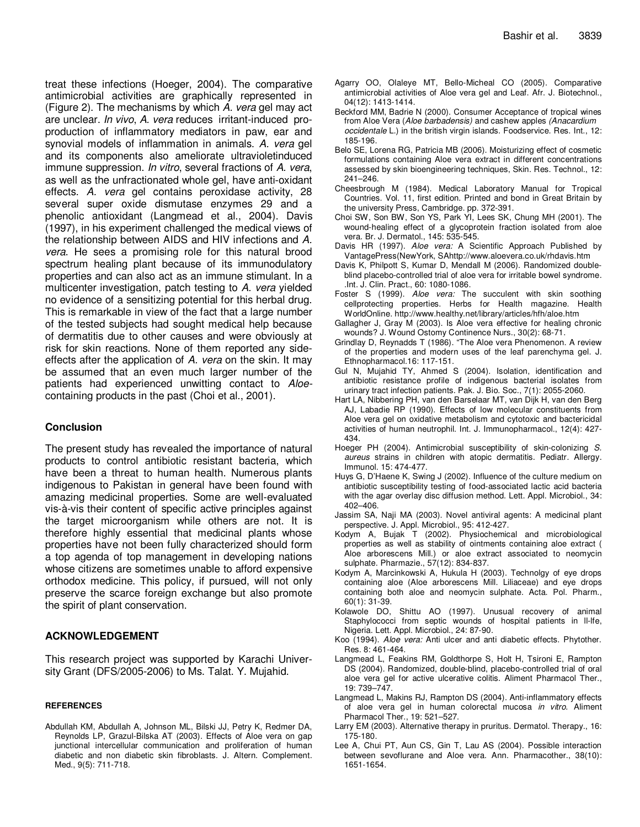treat these infections (Hoeger, 2004). The comparative antimicrobial activities are graphically represented in (Figure 2). The mechanisms by which *A. vera* gel may act are unclear. *In vivo*, *A. vera* reduces irritant-induced proproduction of inflammatory mediators in paw, ear and synovial models of inflammation in animals. *A. vera* gel and its components also ameliorate ultravioletinduced immune suppression. *In vitro*, several fractions of *A. vera*, as well as the unfractionated whole gel, have anti-oxidant effects. *A. vera* gel contains peroxidase activity, 28 several super oxide dismutase enzymes 29 and a phenolic antioxidant (Langmead et al., 2004). Davis (1997), in his experiment challenged the medical views of the relationship between AIDS and HIV infections and *A. vera*. He sees a promising role for this natural brood spectrum healing plant because of its immunodulatory properties and can also act as an immune stimulant. In a multicenter investigation, patch testing to *A. vera* yielded no evidence of a sensitizing potential for this herbal drug. This is remarkable in view of the fact that a large number of the tested subjects had sought medical help because of dermatitis due to other causes and were obviously at risk for skin reactions. None of them reported any sideeffects after the application of *A. vera* on the skin. It may be assumed that an even much larger number of the patients had experienced unwitting contact to *Aloe*containing products in the past (Choi et al., 2001).

## **Conclusion**

The present study has revealed the importance of natural products to control antibiotic resistant bacteria, which have been a threat to human health. Numerous plants indigenous to Pakistan in general have been found with amazing medicinal properties. Some are well-evaluated vis-à-vis their content of specific active principles against the target microorganism while others are not. It is therefore highly essential that medicinal plants whose properties have not been fully characterized should form a top agenda of top management in developing nations whose citizens are sometimes unable to afford expensive orthodox medicine. This policy, if pursued, will not only preserve the scarce foreign exchange but also promote the spirit of plant conservation.

## **ACKNOWLEDGEMENT**

This research project was supported by Karachi University Grant (DFS/2005-2006) to Ms. Talat. Y. Mujahid.

## **REFERENCES**

Abdullah KM, Abdullah A, Johnson ML, Bilski JJ, Petry K, Redmer DA, Reynolds LP, Grazul-Bilska AT (2003). Effects of Aloe vera on gap junctional intercellular communication and proliferation of human diabetic and non diabetic skin fibroblasts. J. Altern. Complement. Med., 9(5): 711-718.

- Agarry OO, Olaleye MT, Bello-Micheal CO (2005). Comparative antimicrobial activities of Aloe vera gel and Leaf. Afr. J. Biotechnol., 04(12): 1413-1414.
- Beckford MM, Badrie N (2000). Consumer Acceptance of tropical wines from Aloe Vera (*Aloe barbadensis)* and cashew apples *(Anacardium occidentale* L.) in the british virgin islands. Foodservice. Res. Int., 12: 185-196.
- Belo SE, Lorena RG, Patricia MB (2006). Moisturizing effect of cosmetic formulations containing Aloe vera extract in different concentrations assessed by skin bioengineering techniques, Skin. Res. Technol., 12: 241–246.
- Cheesbrough M (1984). Medical Laboratory Manual for Tropical Countries. Vol. 11, first edition. Printed and bond in Great Britain by the university Press, Cambridge. pp. 372-391.
- Choi SW, Son BW, Son YS, Park YI, Lees SK, Chung MH (2001). The wound-healing effect of a glycoprotein fraction isolated from aloe vera. Br. J. Dermatol., 145: 535-545.
- Davis HR (1997). *Aloe vera:* A Scientific Approach Published by VantagePress(NewYork, SAhttp://www.aloevera.co.uk/rhdavis.htm
- Davis K, Philpott S, Kumar D, Mendall M (2006). Randomized doubleblind placebo-controlled trial of aloe vera for irritable bowel syndrome. .Int. J. Clin. Pract*.*, 60: 1080-1086.
- Foster S (1999). *Aloe vera:* The succulent with skin soothing cellprotecting properties. Herbs for Health magazine. Health WorldOnline. http://www.healthy.net/library/articles/hfh/aloe.htm
- Gallagher J, Gray M (2003). Is Aloe vera effective for healing chronic wounds? J. Wound Ostomy Continence Nurs., 30(2): 68-71.
- Grindlay D, Reynadds T (1986). "The Aloe vera Phenomenon. A review of the properties and modern uses of the leaf parenchyma gel. J. Ethnopharmacol.16: 117-151.
- Gul N, Mujahid TY, Ahmed S (2004). Isolation, identification and antibiotic resistance profile of indigenous bacterial isolates from urinary tract infection patients. Pak. J. Bio. Soc., 7(1): 2055-2060.
- Hart LA, Nibbering PH, van den Barselaar MT, van Dijk H, van den Berg AJ, Labadie RP (1990). Effects of low molecular constituents from Aloe vera gel on oxidative metabolism and cytotoxic and bactericidal activities of human neutrophil. Int. J. Immunopharmacol., 12(4): 427- 434.
- Hoeger PH (2004). Antimicrobial susceptibility of skin-colonizing *S. aureus* strains in children with atopic dermatitis. Pediatr*.* Allergy. Immunol. 15: 474-477.
- Huys G, D'Haene K, Swing J (2002). Influence of the culture medium on antibiotic susceptibility testing of food-associated lactic acid bacteria with the agar overlay disc diffusion method. Lett. Appl. Microbiol., 34: 402–406.
- Jassim SA, Naji MA (2003). Novel antiviral agents: A medicinal plant perspective. J. Appl. Microbiol., 95: 412-427.
- Kodym A, Bujak T (2002). Physiochemical and microbiological properties as well as stability of ointments containing aloe extract ( Aloe arborescens Mill.) or aloe extract associated to neomycin sulphate. Pharmazie., 57(12): 834-837.
- Kodym A, Marcinkowski A, Hukula H (2003). Technolgy of eye drops containing aloe (Aloe arborescens Mill. Liliaceae) and eye drops containing both aloe and neomycin sulphate. Acta. Pol. Pharm., 60(1): 31-39.
- Kolawole DO, Shittu AO (1997). Unusual recovery of animal Staphylococci from septic wounds of hospital patients in II-Ife, Nigeria. Lett. Appl. Microbiol., 24: 87-90.
- Koo (1994). *Aloe vera:* Anti ulcer and anti diabetic effects. Phytother. Res. 8: 461-464.
- Langmead L, Feakins RM, Goldthorpe S, Holt H, Tsironi E, Rampton DS (2004). Randomized, double-blind, placebo-controlled trial of oral aloe vera gel for active ulcerative colitis. Aliment Pharmacol Ther., 19: 739–747.
- Langmead L, Makins RJ, Rampton DS (2004). Anti-inflammatory effects of aloe vera gel in human colorectal mucosa *in vitro*. Aliment Pharmacol Ther., 19: 521–527.
- Larry EM (2003). Alternative therapy in pruritus. Dermatol*.* Therapy., 16: 175-180.
- Lee A, Chui PT, Aun CS, Gin T, Lau AS (2004). Possible interaction between sevoflurane and Aloe vera. Ann. Pharmacother., 38(10): 1651-1654.